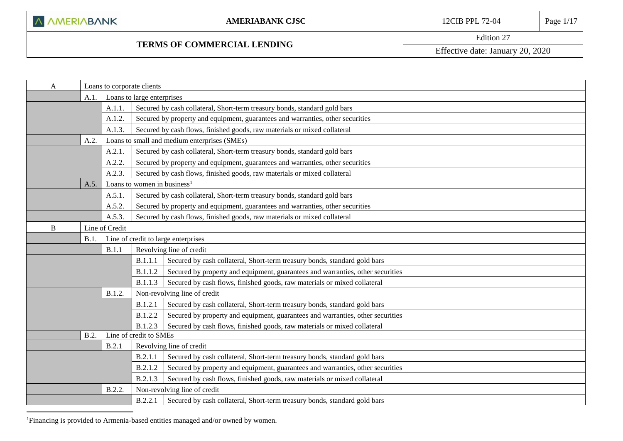<u>.</u>

L

### <span id="page-0-0"></span>**TERMS OF COMMERCIAL LENDING**

Edition 27

Effective date: January 20, 2020

| A      | Loans to corporate clients |                |                                         |                                                                                |
|--------|----------------------------|----------------|-----------------------------------------|--------------------------------------------------------------------------------|
|        | A.1.                       |                | Loans to large enterprises              |                                                                                |
|        |                            | A.1.1.         |                                         | Secured by cash collateral, Short-term treasury bonds, standard gold bars      |
|        |                            | A.1.2.         |                                         | Secured by property and equipment, guarantees and warranties, other securities |
|        |                            | A.1.3          |                                         | Secured by cash flows, finished goods, raw materials or mixed collateral       |
|        | A.2.                       |                |                                         | Loans to small and medium enterprises (SMEs)                                   |
|        |                            | A.2.1          |                                         | Secured by cash collateral, Short-term treasury bonds, standard gold bars      |
|        |                            | A.2.2.         |                                         | Secured by property and equipment, guarantees and warranties, other securities |
|        |                            | A.2.3          |                                         | Secured by cash flows, finished goods, raw materials or mixed collateral       |
|        | A.5.                       |                | Loans to women in business <sup>1</sup> |                                                                                |
|        |                            | A.5.1          |                                         | Secured by cash collateral, Short-term treasury bonds, standard gold bars      |
|        |                            | A.5.2          |                                         | Secured by property and equipment, guarantees and warranties, other securities |
| A.5.3. |                            |                |                                         | Secured by cash flows, finished goods, raw materials or mixed collateral       |
| B      |                            | Line of Credit |                                         |                                                                                |
|        | B.1                        |                |                                         | Line of credit to large enterprises                                            |
|        |                            | B.1.1          |                                         | Revolving line of credit                                                       |
|        |                            |                | B.1.1.1                                 | Secured by cash collateral, Short-term treasury bonds, standard gold bars      |
|        |                            |                | B.1.1.2                                 | Secured by property and equipment, guarantees and warranties, other securities |
|        |                            |                | B.1.1.3                                 | Secured by cash flows, finished goods, raw materials or mixed collateral       |
|        |                            | B.1.2.         |                                         | Non-revolving line of credit                                                   |
|        |                            |                | B.1.2.1                                 | Secured by cash collateral, Short-term treasury bonds, standard gold bars      |
|        |                            |                | B.1.2.2                                 | Secured by property and equipment, guarantees and warranties, other securities |
|        |                            |                | <b>B.1.2.3</b>                          | Secured by cash flows, finished goods, raw materials or mixed collateral       |
| B.2.   |                            |                | Line of credit to SMEs                  |                                                                                |
|        |                            | B.2.1          |                                         | Revolving line of credit                                                       |
|        |                            |                | B.2.1.1                                 | Secured by cash collateral, Short-term treasury bonds, standard gold bars      |
|        |                            |                | B.2.1.2                                 | Secured by property and equipment, guarantees and warranties, other securities |
|        |                            |                | <b>B.2.1.3</b>                          | Secured by cash flows, finished goods, raw materials or mixed collateral       |
|        |                            | B.2.2.         |                                         | Non-revolving line of credit                                                   |
|        |                            |                | <b>B.2.2.1</b>                          | Secured by cash collateral, Short-term treasury bonds, standard gold bars      |

<sup>1</sup>Financing is provided to Armenia-based entities managed and/or owned by women.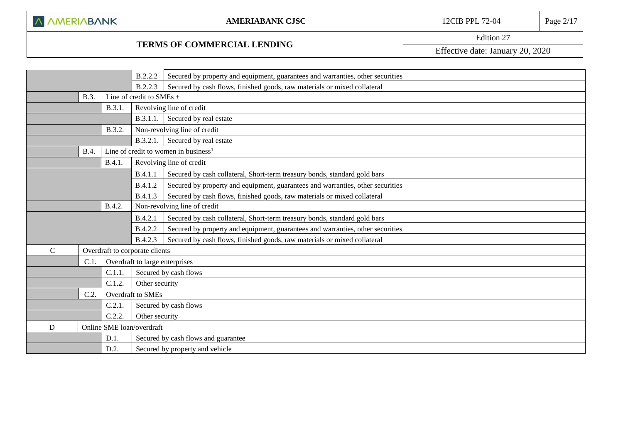# **TERMS OF COMMERCIAL LENDING**

Edition 27 Effective date: January 20, 2020

|              |             | B.2.2.2 | Secured by property and equipment, guarantees and warranties, other securities |                                                                                |  |  |
|--------------|-------------|---------|--------------------------------------------------------------------------------|--------------------------------------------------------------------------------|--|--|
|              |             |         | B.2.2.3                                                                        | Secured by cash flows, finished goods, raw materials or mixed collateral       |  |  |
|              | B.3.        |         | Line of credit to SMEs +                                                       |                                                                                |  |  |
|              |             | B.3.1.  |                                                                                | Revolving line of credit                                                       |  |  |
|              |             |         | <b>B.3.1.1.</b>                                                                | Secured by real estate                                                         |  |  |
|              |             | B.3.2.  |                                                                                | Non-revolving line of credit                                                   |  |  |
|              |             |         | B.3.2.1.                                                                       | Secured by real estate                                                         |  |  |
|              | <b>B.4.</b> |         |                                                                                | Line of credit to women in business <sup>1</sup>                               |  |  |
|              |             | B.4.1.  |                                                                                | Revolving line of credit                                                       |  |  |
|              |             |         | B.4.1.1                                                                        | Secured by cash collateral, Short-term treasury bonds, standard gold bars      |  |  |
|              |             |         | B.4.1.2                                                                        | Secured by property and equipment, guarantees and warranties, other securities |  |  |
|              |             |         | B.4.1.3                                                                        | Secured by cash flows, finished goods, raw materials or mixed collateral       |  |  |
|              |             | B.4.2.  | Non-revolving line of credit                                                   |                                                                                |  |  |
|              |             |         | B.4.2.1                                                                        | Secured by cash collateral, Short-term treasury bonds, standard gold bars      |  |  |
|              |             |         | B.4.2.2                                                                        | Secured by property and equipment, guarantees and warranties, other securities |  |  |
|              |             |         | B.4.2.3                                                                        | Secured by cash flows, finished goods, raw materials or mixed collateral       |  |  |
| $\mathsf{C}$ |             |         | Overdraft to corporate clients                                                 |                                                                                |  |  |
|              | C.1         |         | Overdraft to large enterprises                                                 |                                                                                |  |  |
|              |             | C.1.1.  |                                                                                | Secured by cash flows                                                          |  |  |
|              |             | C.1.2.  | Other security                                                                 |                                                                                |  |  |
|              | C.2         |         | Overdraft to SMEs                                                              |                                                                                |  |  |
|              |             | C.2.1.  |                                                                                | Secured by cash flows                                                          |  |  |
| C.2.2        |             |         | Other security                                                                 |                                                                                |  |  |
| D            |             |         | Online SME loan/overdraft                                                      |                                                                                |  |  |
|              |             | D.1.    |                                                                                | Secured by cash flows and guarantee                                            |  |  |
| D.2.         |             |         | Secured by property and vehicle                                                |                                                                                |  |  |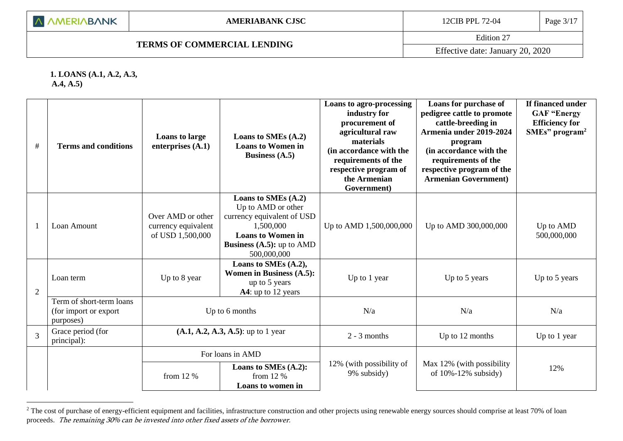Edition 27

**1. LOANS (A.1, A.2, A.3,** 

L

**A.4, A.5)**

1

| $\#$           | <b>Terms and conditions</b>                                    | <b>Loans to large</b><br>enterprises $(A.1)$                 | Loans to SMEs (A.2)<br><b>Loans to Women in</b><br>Business $(A.5)$                                                                                                   | Loans to agro-processing<br>industry for<br>procurement of<br>agricultural raw<br>materials<br>(in accordance with the<br>requirements of the<br>respective program of<br>the Armenian<br>Government) | Loans for purchase of<br>pedigree cattle to promote<br>cattle-breeding in<br>Armenia under 2019-2024<br>program<br>(in accordance with the<br>requirements of the<br>respective program of the<br><b>Armenian Government</b> ) | If financed under<br><b>GAF "Energy</b><br><b>Efficiency for</b><br>SMEs' program <sup>2</sup> |
|----------------|----------------------------------------------------------------|--------------------------------------------------------------|-----------------------------------------------------------------------------------------------------------------------------------------------------------------------|-------------------------------------------------------------------------------------------------------------------------------------------------------------------------------------------------------|--------------------------------------------------------------------------------------------------------------------------------------------------------------------------------------------------------------------------------|------------------------------------------------------------------------------------------------|
| $\mathbf{1}$   | Loan Amount                                                    | Over AMD or other<br>currency equivalent<br>of USD 1,500,000 | Loans to SMEs (A.2)<br>Up to AMD or other<br>currency equivalent of USD<br>1,500,000<br><b>Loans to Women in</b><br><b>Business (A.5):</b> up to $AMD$<br>500,000,000 | Up to AMD 1,500,000,000                                                                                                                                                                               | Up to AMD 300,000,000                                                                                                                                                                                                          | Up to AMD<br>500,000,000                                                                       |
| $\overline{2}$ | Loan term                                                      | Up to 8 year                                                 | Loans to SMEs (A.2),<br><b>Women in Business (A.5):</b><br>up to 5 years<br>A4: up to 12 years                                                                        | Up to 1 year                                                                                                                                                                                          | Up to 5 years                                                                                                                                                                                                                  | Up to 5 years                                                                                  |
|                | Term of short-term loans<br>(for import or export<br>purposes) |                                                              | Up to 6 months                                                                                                                                                        | N/a                                                                                                                                                                                                   | N/a                                                                                                                                                                                                                            | N/a                                                                                            |
| $\overline{3}$ | Grace period (for<br>principal):                               |                                                              | $(A.1, A.2, A.3, A.5)$ : up to 1 year                                                                                                                                 | $2 - 3$ months                                                                                                                                                                                        | Up to 12 months                                                                                                                                                                                                                | Up to 1 year                                                                                   |
|                |                                                                | For loans in AMD                                             |                                                                                                                                                                       |                                                                                                                                                                                                       |                                                                                                                                                                                                                                |                                                                                                |
|                |                                                                | from 12 %                                                    | Loans to SMEs (A.2):<br>from $12%$<br>Loans to women in                                                                                                               | 12% (with possibility of<br>9% subsidy)                                                                                                                                                               | Max 12% (with possibility<br>of $10\% - 12\%$ subsidy)                                                                                                                                                                         | 12%                                                                                            |

<sup>&</sup>lt;sup>2</sup> The cost of purchase of energy-efficient equipment and facilities, infrastructure construction and other projects using renewable energy sources should comprise at least 70% of loan proceeds. The remaining 30% can be invested into other fixed assets of the borrower.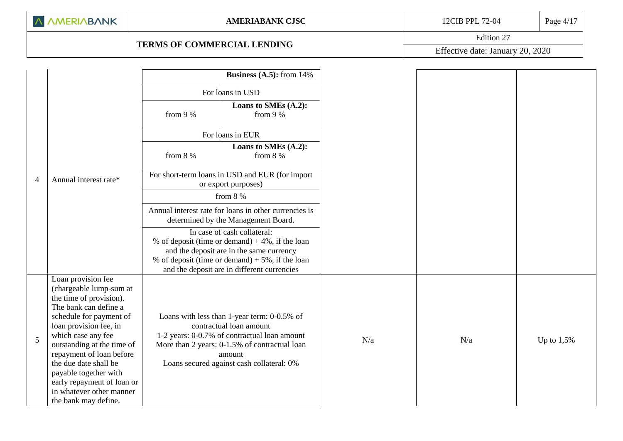# **TERMS OF COMMERCIAL LENDING**

Edition 27

Effective date: January 20, 2020

|                |                                                                                                                                                                                                                                                                                                                                                                            |                                                                                              | <b>Business (A.5):</b> from $14\%$                                                                                                                                                                                                |     |     |              |
|----------------|----------------------------------------------------------------------------------------------------------------------------------------------------------------------------------------------------------------------------------------------------------------------------------------------------------------------------------------------------------------------------|----------------------------------------------------------------------------------------------|-----------------------------------------------------------------------------------------------------------------------------------------------------------------------------------------------------------------------------------|-----|-----|--------------|
|                |                                                                                                                                                                                                                                                                                                                                                                            |                                                                                              | For loans in USD                                                                                                                                                                                                                  |     |     |              |
|                |                                                                                                                                                                                                                                                                                                                                                                            | from 9 %                                                                                     | Loans to SMEs (A.2):<br>from 9 %                                                                                                                                                                                                  |     |     |              |
|                |                                                                                                                                                                                                                                                                                                                                                                            |                                                                                              | For loans in EUR                                                                                                                                                                                                                  |     |     |              |
|                |                                                                                                                                                                                                                                                                                                                                                                            | from $8%$                                                                                    | Loans to SMEs (A.2):<br>from $8\%$                                                                                                                                                                                                |     |     |              |
| $\overline{4}$ | Annual interest rate*                                                                                                                                                                                                                                                                                                                                                      |                                                                                              | For short-term loans in USD and EUR (for import<br>or export purposes)                                                                                                                                                            |     |     |              |
|                |                                                                                                                                                                                                                                                                                                                                                                            |                                                                                              | from $8%$                                                                                                                                                                                                                         |     |     |              |
|                |                                                                                                                                                                                                                                                                                                                                                                            | Annual interest rate for loans in other currencies is<br>determined by the Management Board. |                                                                                                                                                                                                                                   |     |     |              |
|                |                                                                                                                                                                                                                                                                                                                                                                            |                                                                                              | In case of cash collateral:<br>% of deposit (time or demand) $+4\%$ , if the loan<br>and the deposit are in the same currency<br>% of deposit (time or demand) $+5%$ , if the loan<br>and the deposit are in different currencies |     |     |              |
| 5              | Loan provision fee<br>(chargeable lump-sum at<br>the time of provision).<br>The bank can define a<br>schedule for payment of<br>loan provision fee, in<br>which case any fee<br>outstanding at the time of<br>repayment of loan before<br>the due date shall be<br>payable together with<br>early repayment of loan or<br>in whatever other manner<br>the bank may define. |                                                                                              | Loans with less than 1-year term: 0-0.5% of<br>contractual loan amount<br>1-2 years: 0-0.7% of contractual loan amount<br>More than 2 years: 0-1.5% of contractual loan<br>amount<br>Loans secured against cash collateral: 0%    | N/a | N/a | Up to $1,5%$ |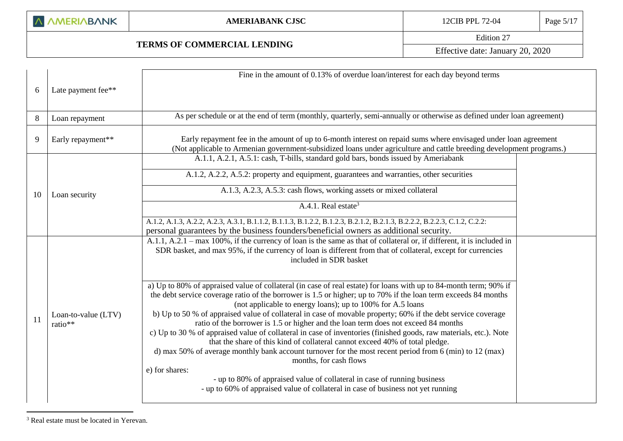### **TERMS OF COMMERCIAL LENDING**

Edition 27

Effective date: January 20, 2020

|                                | Fine in the amount of 0.13% of overdue loan/interest for each day beyond terms                                                                                                                                                                                                                                                                                                                                                                                                                                                                                                                                                                                                                                                                                                                                                                                                                                                                                                                                                      |                                                                                                                                                                                                                                                                                                                                                                                                                                                             |
|--------------------------------|-------------------------------------------------------------------------------------------------------------------------------------------------------------------------------------------------------------------------------------------------------------------------------------------------------------------------------------------------------------------------------------------------------------------------------------------------------------------------------------------------------------------------------------------------------------------------------------------------------------------------------------------------------------------------------------------------------------------------------------------------------------------------------------------------------------------------------------------------------------------------------------------------------------------------------------------------------------------------------------------------------------------------------------|-------------------------------------------------------------------------------------------------------------------------------------------------------------------------------------------------------------------------------------------------------------------------------------------------------------------------------------------------------------------------------------------------------------------------------------------------------------|
| Late payment fee**             |                                                                                                                                                                                                                                                                                                                                                                                                                                                                                                                                                                                                                                                                                                                                                                                                                                                                                                                                                                                                                                     |                                                                                                                                                                                                                                                                                                                                                                                                                                                             |
| Loan repayment                 |                                                                                                                                                                                                                                                                                                                                                                                                                                                                                                                                                                                                                                                                                                                                                                                                                                                                                                                                                                                                                                     |                                                                                                                                                                                                                                                                                                                                                                                                                                                             |
| Early repayment**              |                                                                                                                                                                                                                                                                                                                                                                                                                                                                                                                                                                                                                                                                                                                                                                                                                                                                                                                                                                                                                                     |                                                                                                                                                                                                                                                                                                                                                                                                                                                             |
|                                | A.1.1, A.2.1, A.5.1: cash, T-bills, standard gold bars, bonds issued by Ameriabank                                                                                                                                                                                                                                                                                                                                                                                                                                                                                                                                                                                                                                                                                                                                                                                                                                                                                                                                                  |                                                                                                                                                                                                                                                                                                                                                                                                                                                             |
|                                | A.1.2, A.2.2, A.5.2: property and equipment, guarantees and warranties, other securities                                                                                                                                                                                                                                                                                                                                                                                                                                                                                                                                                                                                                                                                                                                                                                                                                                                                                                                                            |                                                                                                                                                                                                                                                                                                                                                                                                                                                             |
| Loan security                  | A.1.3, A.2.3, A.5.3: cash flows, working assets or mixed collateral                                                                                                                                                                                                                                                                                                                                                                                                                                                                                                                                                                                                                                                                                                                                                                                                                                                                                                                                                                 |                                                                                                                                                                                                                                                                                                                                                                                                                                                             |
|                                | A.4.1. Real estate <sup>3</sup>                                                                                                                                                                                                                                                                                                                                                                                                                                                                                                                                                                                                                                                                                                                                                                                                                                                                                                                                                                                                     |                                                                                                                                                                                                                                                                                                                                                                                                                                                             |
|                                | A.1.2, A.1.3, A.2.2, A.2.3, A.3.1, B.1.1.2, B.1.1.3, B.1.2.2, B.1.2.3, B.2.1.2, B.2.1.3, B.2.2.2, B.2.2.3, C.1.2, C.2.2:                                                                                                                                                                                                                                                                                                                                                                                                                                                                                                                                                                                                                                                                                                                                                                                                                                                                                                            |                                                                                                                                                                                                                                                                                                                                                                                                                                                             |
|                                | A.1.1, A.2.1 – max 100%, if the currency of loan is the same as that of collateral or, if different, it is included in<br>SDR basket, and max 95%, if the currency of loan is different from that of collateral, except for currencies<br>included in SDR basket                                                                                                                                                                                                                                                                                                                                                                                                                                                                                                                                                                                                                                                                                                                                                                    |                                                                                                                                                                                                                                                                                                                                                                                                                                                             |
| Loan-to-value (LTV)<br>ratio** | a) Up to 80% of appraised value of collateral (in case of real estate) for loans with up to 84-month term; 90% if<br>the debt service coverage ratio of the borrower is 1.5 or higher; up to 70% if the loan term exceeds 84 months<br>(not applicable to energy loans); up to 100% for A.5 loans<br>b) Up to 50 % of appraised value of collateral in case of movable property; 60% if the debt service coverage<br>ratio of the borrower is 1.5 or higher and the loan term does not exceed 84 months<br>c) Up to 30 % of appraised value of collateral in case of inventories (finished goods, raw materials, etc.). Note<br>that the share of this kind of collateral cannot exceed 40% of total pledge.<br>d) max 50% of average monthly bank account turnover for the most recent period from 6 (min) to 12 (max)<br>months, for cash flows<br>e) for shares:<br>- up to 80% of appraised value of collateral in case of running business<br>- up to 60% of appraised value of collateral in case of business not yet running |                                                                                                                                                                                                                                                                                                                                                                                                                                                             |
|                                |                                                                                                                                                                                                                                                                                                                                                                                                                                                                                                                                                                                                                                                                                                                                                                                                                                                                                                                                                                                                                                     | As per schedule or at the end of term (monthly, quarterly, semi-annually or otherwise as defined under loan agreement)<br>Early repayment fee in the amount of up to 6-month interest on repaid sums where envisaged under loan agreement<br>(Not applicable to Armenian government-subsidized loans under agriculture and cattle breeding development programs.)<br>personal guarantees by the business founders/beneficial owners as additional security. |

<sup>3</sup> Real estate must be located in Yerevan.

<u>.</u>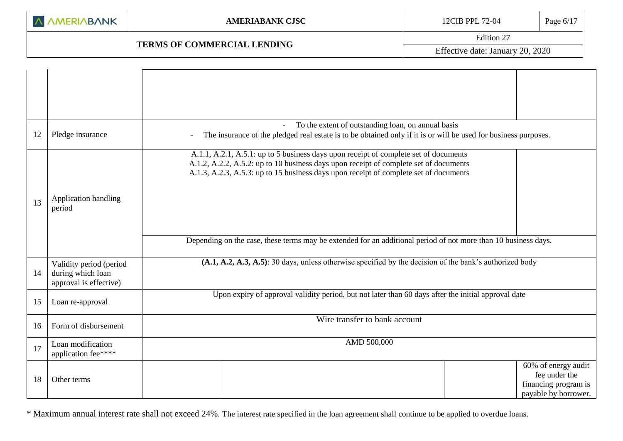## **TERMS OF COMMERCIAL LENDING**

Edition 27

Effective date: January 20, 2020

|    |                                                                        | To the extent of outstanding loan, on annual basis                                                                                                                                                                                                                                                                                                                                       |
|----|------------------------------------------------------------------------|------------------------------------------------------------------------------------------------------------------------------------------------------------------------------------------------------------------------------------------------------------------------------------------------------------------------------------------------------------------------------------------|
| 12 | Pledge insurance                                                       | The insurance of the pledged real estate is to be obtained only if it is or will be used for business purposes.                                                                                                                                                                                                                                                                          |
| 13 | Application handling<br>period                                         | A.1.1, A.2.1, A.5.1: up to 5 business days upon receipt of complete set of documents<br>A.1.2, A.2.2, A.5.2: up to 10 business days upon receipt of complete set of documents<br>A.1.3, A.2.3, A.5.3: up to 15 business days upon receipt of complete set of documents<br>Depending on the case, these terms may be extended for an additional period of not more than 10 business days. |
|    |                                                                        |                                                                                                                                                                                                                                                                                                                                                                                          |
| 14 | Validity period (period<br>during which loan<br>approval is effective) | (A.1, A.2, A.3, A.5): 30 days, unless otherwise specified by the decision of the bank's authorized body                                                                                                                                                                                                                                                                                  |
| 15 | Loan re-approval                                                       | Upon expiry of approval validity period, but not later than 60 days after the initial approval date                                                                                                                                                                                                                                                                                      |
| 16 | Form of disbursement                                                   | Wire transfer to bank account                                                                                                                                                                                                                                                                                                                                                            |
| 17 | Loan modification<br>application fee****                               | AMD 500,000                                                                                                                                                                                                                                                                                                                                                                              |
| 18 | Other terms                                                            | 60% of energy audit<br>fee under the<br>financing program is<br>payable by borrower.                                                                                                                                                                                                                                                                                                     |

\* Maximum annual interest rate shall not exceed 24%. The interest rate specified in the loan agreement shall continue to be applied to overdue loans.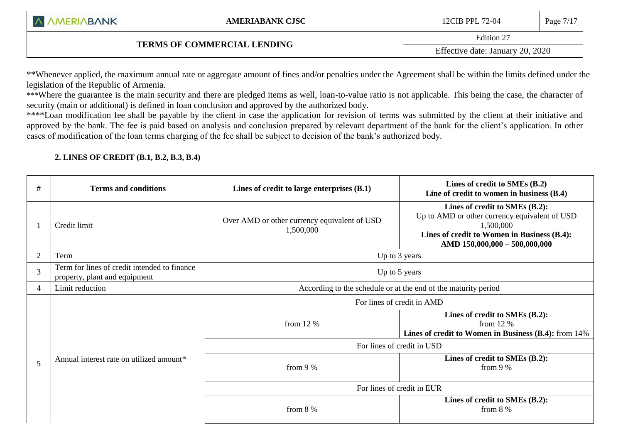|  |  |  | A AMERIABANK |  |
|--|--|--|--------------|--|
|--|--|--|--------------|--|

Edition 27

Effective date: January 20, 2020

\*\*Whenever applied, the maximum annual rate or aggregate amount of fines and/or penalties under the Agreement shall be within the limits defined under the legislation of the Republic of Armenia.

\*\*\*Where the guarantee is the main security and there are pledged items as well, loan-to-value ratio is not applicable. This being the case, the character of security (main or additional) is defined in loan conclusion and approved by the authorized body.

\*\*\*\*Loan modification fee shall be payable by the client in case the application for revision of terms was submitted by the client at their initiative and approved by the bank. The fee is paid based on analysis and conclusion prepared by relevant department of the bank for the client's application. In other cases of modification of the loan terms charging of the fee shall be subject to decision of the bank's authorized body.

## **2. LINES OF CREDIT (B.1, B.2, B.3, B.4)**

L

| #              | <b>Terms and conditions</b>                                                   | Lines of credit to large enterprises (B.1)                     | Lines of credit to SMEs (B.2)<br>Line of credit to women in business (B.4)                                                                                                   |  |
|----------------|-------------------------------------------------------------------------------|----------------------------------------------------------------|------------------------------------------------------------------------------------------------------------------------------------------------------------------------------|--|
|                | Credit limit                                                                  | Over AMD or other currency equivalent of USD<br>1,500,000      | Lines of credit to SMEs (B.2):<br>Up to AMD or other currency equivalent of USD<br>1,500,000<br>Lines of credit to Women in Business (B.4):<br>AMD 150,000,000 - 500,000,000 |  |
| $\overline{2}$ | Term                                                                          |                                                                | Up to 3 years                                                                                                                                                                |  |
| 3              | Term for lines of credit intended to finance<br>property, plant and equipment |                                                                | Up to 5 years                                                                                                                                                                |  |
| 4              | Limit reduction                                                               | According to the schedule or at the end of the maturity period |                                                                                                                                                                              |  |
|                |                                                                               | For lines of credit in AMD                                     |                                                                                                                                                                              |  |
|                |                                                                               | from $12\%$                                                    | Lines of credit to SMEs (B.2):<br>from $12\%$<br>Lines of credit to Women in Business (B.4): from 14%                                                                        |  |
|                |                                                                               | For lines of credit in USD                                     |                                                                                                                                                                              |  |
| 5              | Annual interest rate on utilized amount*                                      | from $9%$                                                      | Lines of credit to SMEs (B.2):<br>from $9%$                                                                                                                                  |  |
|                |                                                                               | For lines of credit in EUR                                     |                                                                                                                                                                              |  |
|                |                                                                               | from $8\%$                                                     | Lines of credit to SMEs (B.2):<br>from $8\%$                                                                                                                                 |  |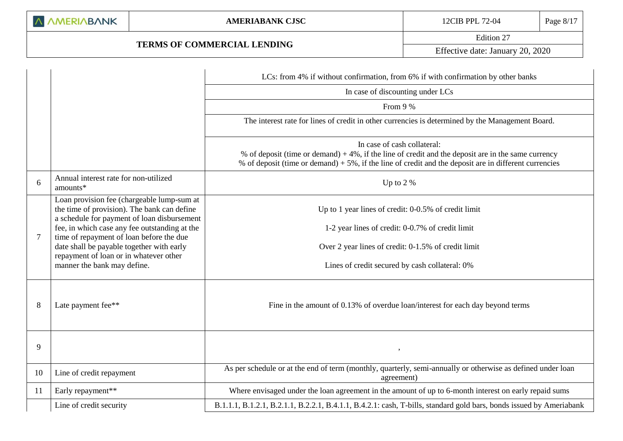Edition 27 Effective date: January 20, 2020

|    |                                                                                                                                          | LCs: from 4% if without confirmation, from 6% if with confirmation by other banks                                                                                                                                                                |
|----|------------------------------------------------------------------------------------------------------------------------------------------|--------------------------------------------------------------------------------------------------------------------------------------------------------------------------------------------------------------------------------------------------|
|    |                                                                                                                                          | In case of discounting under LCs                                                                                                                                                                                                                 |
|    |                                                                                                                                          | From 9 %                                                                                                                                                                                                                                         |
|    |                                                                                                                                          | The interest rate for lines of credit in other currencies is determined by the Management Board.                                                                                                                                                 |
|    |                                                                                                                                          | In case of cash collateral:<br>% of deposit (time or demand) $+4\%$ , if the line of credit and the deposit are in the same currency<br>% of deposit (time or demand) $+5\%$ , if the line of credit and the deposit are in different currencies |
| 6  | Annual interest rate for non-utilized<br>amounts*                                                                                        | Up to $2%$                                                                                                                                                                                                                                       |
|    | Loan provision fee (chargeable lump-sum at<br>the time of provision). The bank can define<br>a schedule for payment of loan disbursement | Up to 1 year lines of credit: 0-0.5% of credit limit                                                                                                                                                                                             |
|    | fee, in which case any fee outstanding at the                                                                                            | 1-2 year lines of credit: 0-0.7% of credit limit                                                                                                                                                                                                 |
| 7  | time of repayment of loan before the due<br>date shall be payable together with early<br>repayment of loan or in whatever other          | Over 2 year lines of credit: 0-1.5% of credit limit                                                                                                                                                                                              |
|    | manner the bank may define.                                                                                                              | Lines of credit secured by cash collateral: 0%                                                                                                                                                                                                   |
| 8  | Late payment fee**                                                                                                                       | Fine in the amount of 0.13% of overdue loan/interest for each day beyond terms                                                                                                                                                                   |
| 9  |                                                                                                                                          |                                                                                                                                                                                                                                                  |
| 10 | Line of credit repayment                                                                                                                 | As per schedule or at the end of term (monthly, quarterly, semi-annually or otherwise as defined under loan<br>agreement)                                                                                                                        |
| 11 | Early repayment**                                                                                                                        | Where envisaged under the loan agreement in the amount of up to 6-month interest on early repaid sums                                                                                                                                            |
|    | Line of credit security                                                                                                                  | B.1.1.1, B.1.2.1, B.2.1.1, B.2.2.1, B.4.1.1, B.4.2.1: cash, T-bills, standard gold bars, bonds issued by Ameriabank                                                                                                                              |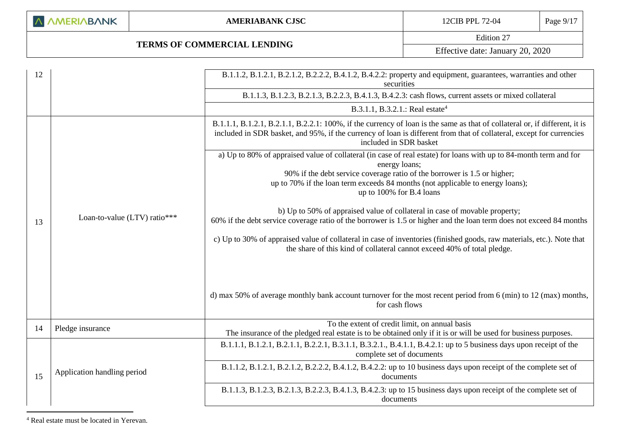### **TERMS OF COMMERCIAL LENDING**

Edition 27

Effective date: January 20, 2020

| B.1.1.3, B.1.2.3, B.2.1.3, B.2.2.3, B.4.1.3, B.4.2.3: cash flows, current assets or mixed collateral<br>B.3.1.1, B.3.2.1.: Real estate <sup>4</sup><br>B.1.1.1, B.1.2.1, B.2.1.1, B.2.2.1: 100%, if the currency of loan is the same as that of collateral or, if different, it is<br>included in SDR basket, and 95%, if the currency of loan is different from that of collateral, except for currencies<br>included in SDR basket<br>a) Up to 80% of appraised value of collateral (in case of real estate) for loans with up to 84-month term and for<br>energy loans;<br>90% if the debt service coverage ratio of the borrower is 1.5 or higher;<br>up to 70% if the loan term exceeds 84 months (not applicable to energy loans);<br>up to 100% for B.4 loans<br>b) Up to 50% of appraised value of collateral in case of movable property;<br>Loan-to-value (LTV) ratio***<br>60% if the debt service coverage ratio of the borrower is 1.5 or higher and the loan term does not exceed 84 months<br>13<br>c) Up to 30% of appraised value of collateral in case of inventories (finished goods, raw materials, etc.). Note that<br>the share of this kind of collateral cannot exceed 40% of total pledge. |  |
|---------------------------------------------------------------------------------------------------------------------------------------------------------------------------------------------------------------------------------------------------------------------------------------------------------------------------------------------------------------------------------------------------------------------------------------------------------------------------------------------------------------------------------------------------------------------------------------------------------------------------------------------------------------------------------------------------------------------------------------------------------------------------------------------------------------------------------------------------------------------------------------------------------------------------------------------------------------------------------------------------------------------------------------------------------------------------------------------------------------------------------------------------------------------------------------------------------------------|--|
|                                                                                                                                                                                                                                                                                                                                                                                                                                                                                                                                                                                                                                                                                                                                                                                                                                                                                                                                                                                                                                                                                                                                                                                                                     |  |
|                                                                                                                                                                                                                                                                                                                                                                                                                                                                                                                                                                                                                                                                                                                                                                                                                                                                                                                                                                                                                                                                                                                                                                                                                     |  |
|                                                                                                                                                                                                                                                                                                                                                                                                                                                                                                                                                                                                                                                                                                                                                                                                                                                                                                                                                                                                                                                                                                                                                                                                                     |  |
|                                                                                                                                                                                                                                                                                                                                                                                                                                                                                                                                                                                                                                                                                                                                                                                                                                                                                                                                                                                                                                                                                                                                                                                                                     |  |
|                                                                                                                                                                                                                                                                                                                                                                                                                                                                                                                                                                                                                                                                                                                                                                                                                                                                                                                                                                                                                                                                                                                                                                                                                     |  |
|                                                                                                                                                                                                                                                                                                                                                                                                                                                                                                                                                                                                                                                                                                                                                                                                                                                                                                                                                                                                                                                                                                                                                                                                                     |  |
| d) max 50% of average monthly bank account turnover for the most recent period from 6 (min) to 12 (max) months,<br>for cash flows                                                                                                                                                                                                                                                                                                                                                                                                                                                                                                                                                                                                                                                                                                                                                                                                                                                                                                                                                                                                                                                                                   |  |
| To the extent of credit limit, on annual basis<br>Pledge insurance<br>14<br>The insurance of the pledged real estate is to be obtained only if it is or will be used for business purposes.                                                                                                                                                                                                                                                                                                                                                                                                                                                                                                                                                                                                                                                                                                                                                                                                                                                                                                                                                                                                                         |  |
| B.1.1.1, B.1.2.1, B.2.1.1, B.2.2.1, B.3.1.1, B.3.2.1., B.4.1.1, B.4.2.1: up to 5 business days upon receipt of the<br>complete set of documents                                                                                                                                                                                                                                                                                                                                                                                                                                                                                                                                                                                                                                                                                                                                                                                                                                                                                                                                                                                                                                                                     |  |
| B.1.1.2, B.1.2.1, B.2.1.2, B.2.2.2, B.4.1.2, B.4.2.2: up to 10 business days upon receipt of the complete set of<br>Application handling period<br>15<br>documents                                                                                                                                                                                                                                                                                                                                                                                                                                                                                                                                                                                                                                                                                                                                                                                                                                                                                                                                                                                                                                                  |  |
| B.1.1.3, B.1.2.3, B.2.1.3, B.2.2.3, B.4.1.3, B.4.2.3: up to 15 business days upon receipt of the complete set of<br>documents                                                                                                                                                                                                                                                                                                                                                                                                                                                                                                                                                                                                                                                                                                                                                                                                                                                                                                                                                                                                                                                                                       |  |

<sup>4</sup> Real estate must be located in Yerevan.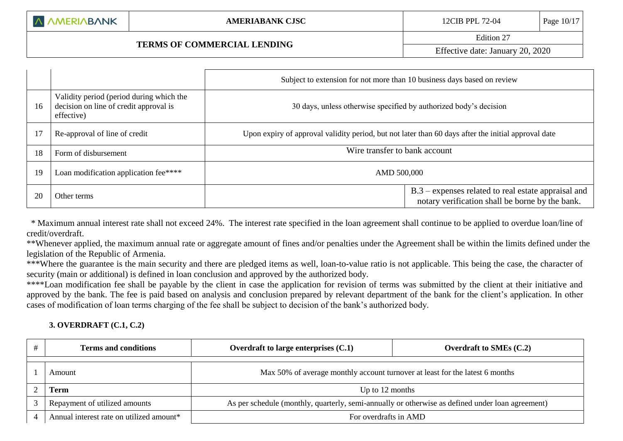# **TERMS OF COMMERCIAL LENDING**

|    |                                                                                                                                                                       | Subject to extension for not more than 10 business days based on review                             |                                                                                                          |
|----|-----------------------------------------------------------------------------------------------------------------------------------------------------------------------|-----------------------------------------------------------------------------------------------------|----------------------------------------------------------------------------------------------------------|
| 16 | Validity period (period during which the<br>decision on line of credit approval is<br>30 days, unless otherwise specified by authorized body's decision<br>effective) |                                                                                                     |                                                                                                          |
|    | Re-approval of line of credit                                                                                                                                         | Upon expiry of approval validity period, but not later than 60 days after the initial approval date |                                                                                                          |
| 18 | Form of disbursement                                                                                                                                                  | Wire transfer to bank account                                                                       |                                                                                                          |
| 19 | Loan modification application fee****                                                                                                                                 | AMD 500,000                                                                                         |                                                                                                          |
| 20 | Other terms                                                                                                                                                           |                                                                                                     | $B.3$ – expenses related to real estate appraisal and<br>notary verification shall be borne by the bank. |

 \* Maximum annual interest rate shall not exceed 24%. The interest rate specified in the loan agreement shall continue to be applied to overdue loan/line of credit/overdraft.

\*\*Whenever applied, the maximum annual rate or aggregate amount of fines and/or penalties under the Agreement shall be within the limits defined under the legislation of the Republic of Armenia.

\*\*\*Where the guarantee is the main security and there are pledged items as well, loan-to-value ratio is not applicable. This being the case, the character of security (main or additional) is defined in loan conclusion and approved by the authorized body.

\*\*\*\*Loan modification fee shall be payable by the client in case the application for revision of terms was submitted by the client at their initiative and approved by the bank. The fee is paid based on analysis and conclusion prepared by relevant department of the bank for the client's application. In other cases of modification of loan terms charging of the fee shall be subject to decision of the bank's authorized body.

### **3. OVERDRAFT (C.1, C.2)**

| <b>Terms and conditions</b>              | Overdraft to large enterprises $(C.1)$                                                           | Overdraft to SMEs $(C.2)$ |  |
|------------------------------------------|--------------------------------------------------------------------------------------------------|---------------------------|--|
| Amount                                   | Max 50% of average monthly account turnover at least for the latest 6 months                     |                           |  |
| Term                                     | Up to 12 months                                                                                  |                           |  |
| Repayment of utilized amounts            | As per schedule (monthly, quarterly, semi-annually or otherwise as defined under loan agreement) |                           |  |
| Annual interest rate on utilized amount* | For overdrafts in AMD                                                                            |                           |  |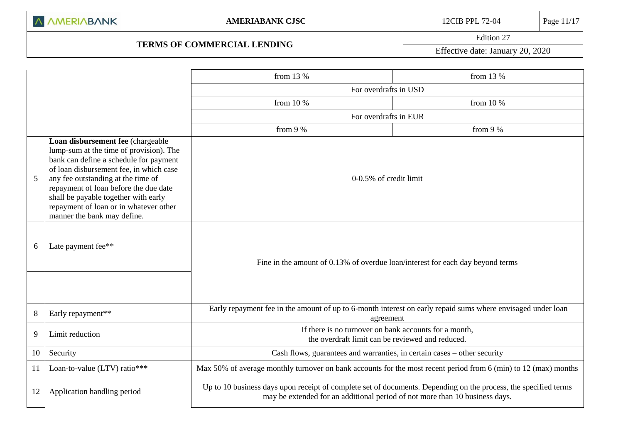Edition 27

Effective date: January 20, 2020

|    |                                                                                                                                                                                                                                                                                                                                                                   | from 13 %                                                                                                                                                                                      | from 13 %   |  |  |  |  |
|----|-------------------------------------------------------------------------------------------------------------------------------------------------------------------------------------------------------------------------------------------------------------------------------------------------------------------------------------------------------------------|------------------------------------------------------------------------------------------------------------------------------------------------------------------------------------------------|-------------|--|--|--|--|
|    |                                                                                                                                                                                                                                                                                                                                                                   | For overdrafts in USD                                                                                                                                                                          |             |  |  |  |  |
|    |                                                                                                                                                                                                                                                                                                                                                                   | from $10%$                                                                                                                                                                                     | from $10\%$ |  |  |  |  |
|    |                                                                                                                                                                                                                                                                                                                                                                   | For overdrafts in EUR                                                                                                                                                                          |             |  |  |  |  |
|    |                                                                                                                                                                                                                                                                                                                                                                   | from 9 %                                                                                                                                                                                       | from 9 %    |  |  |  |  |
| 5  | Loan disbursement fee (chargeable<br>lump-sum at the time of provision). The<br>bank can define a schedule for payment<br>of loan disbursement fee, in which case<br>any fee outstanding at the time of<br>repayment of loan before the due date<br>shall be payable together with early<br>repayment of loan or in whatever other<br>manner the bank may define. | 0-0.5% of credit limit                                                                                                                                                                         |             |  |  |  |  |
| 6  | Late payment fee**                                                                                                                                                                                                                                                                                                                                                | Fine in the amount of 0.13% of overdue loan/interest for each day beyond terms                                                                                                                 |             |  |  |  |  |
|    |                                                                                                                                                                                                                                                                                                                                                                   | Early repayment fee in the amount of up to 6-month interest on early repaid sums where envisaged under loan                                                                                    |             |  |  |  |  |
| 8  | Early repayment**                                                                                                                                                                                                                                                                                                                                                 | agreement                                                                                                                                                                                      |             |  |  |  |  |
| 9  | Limit reduction                                                                                                                                                                                                                                                                                                                                                   | If there is no turnover on bank accounts for a month,<br>the overdraft limit can be reviewed and reduced.                                                                                      |             |  |  |  |  |
| 10 | Security                                                                                                                                                                                                                                                                                                                                                          | Cash flows, guarantees and warranties, in certain cases – other security                                                                                                                       |             |  |  |  |  |
| 11 | Loan-to-value (LTV) ratio***                                                                                                                                                                                                                                                                                                                                      | Max 50% of average monthly turnover on bank accounts for the most recent period from 6 (min) to 12 (max) months                                                                                |             |  |  |  |  |
| 12 | Application handling period                                                                                                                                                                                                                                                                                                                                       | Up to 10 business days upon receipt of complete set of documents. Depending on the process, the specified terms<br>may be extended for an additional period of not more than 10 business days. |             |  |  |  |  |
|    |                                                                                                                                                                                                                                                                                                                                                                   |                                                                                                                                                                                                |             |  |  |  |  |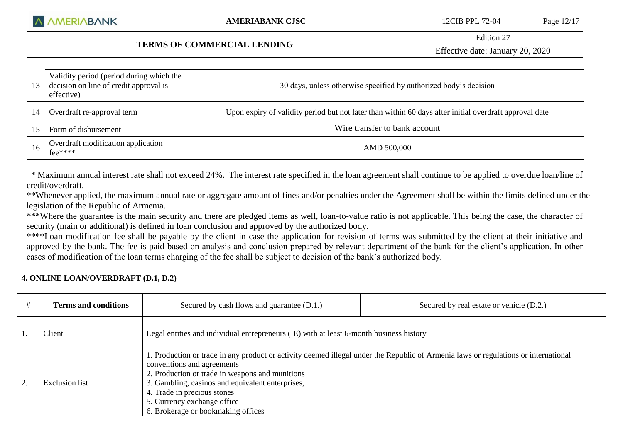| 13 | Validity period (period during which the<br>decision on line of credit approval is<br>effective) | 30 days, unless otherwise specified by authorized body's decision                                      |
|----|--------------------------------------------------------------------------------------------------|--------------------------------------------------------------------------------------------------------|
|    | Overdraft re-approval term                                                                       | Upon expiry of validity period but not later than within 60 days after initial overdraft approval date |
| 15 | Form of disbursement                                                                             | Wire transfer to bank account                                                                          |
|    | Overdraft modification application<br>$fee$ ****                                                 | AMD 500,000                                                                                            |

 \* Maximum annual interest rate shall not exceed 24%. The interest rate specified in the loan agreement shall continue to be applied to overdue loan/line of credit/overdraft.

\*\*Whenever applied, the maximum annual rate or aggregate amount of fines and/or penalties under the Agreement shall be within the limits defined under the legislation of the Republic of Armenia.

\*\*\*Where the guarantee is the main security and there are pledged items as well, loan-to-value ratio is not applicable. This being the case, the character of security (main or additional) is defined in loan conclusion and approved by the authorized body.

\*\*\*\*Loan modification fee shall be payable by the client in case the application for revision of terms was submitted by the client at their initiative and approved by the bank. The fee is paid based on analysis and conclusion prepared by relevant department of the bank for the client's application. In other cases of modification of the loan terms charging of the fee shall be subject to decision of the bank's authorized body.

### **4. ONLINE LOAN/OVERDRAFT (D.1, D.2)**

| <b>Terms and conditions</b> | Secured by cash flows and guarantee (D.1.)                                                                                                                                                                                                                                                                                                                                   | Secured by real estate or vehicle (D.2.) |  |  |
|-----------------------------|------------------------------------------------------------------------------------------------------------------------------------------------------------------------------------------------------------------------------------------------------------------------------------------------------------------------------------------------------------------------------|------------------------------------------|--|--|
| Client                      | Legal entities and individual entrepreneurs (IE) with at least 6-month business history                                                                                                                                                                                                                                                                                      |                                          |  |  |
| <b>Exclusion</b> list       | 1. Production or trade in any product or activity deemed illegal under the Republic of Armenia laws or regulations or international<br>conventions and agreements<br>2. Production or trade in weapons and munitions<br>3. Gambling, casinos and equivalent enterprises,<br>4. Trade in precious stones<br>5. Currency exchange office<br>6. Brokerage or bookmaking offices |                                          |  |  |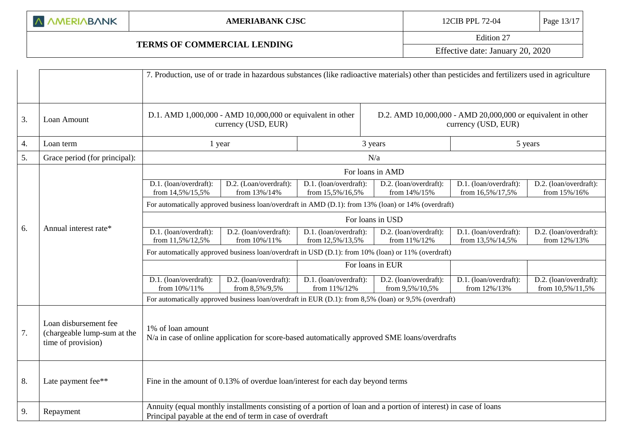|  |  |  | A AMERIABANK |
|--|--|--|--------------|
|--|--|--|--------------|

# **TERMS OF COMMERCIAL LENDING**

Edition 27

Effective date: January 20, 2020

|    |                                                                            |                                                                                                                                                                              |                                          |                                            | 7. Production, use of or trade in hazardous substances (like radioactive materials) other than pesticides and fertilizers used in agriculture |                                            |                                            |  |
|----|----------------------------------------------------------------------------|------------------------------------------------------------------------------------------------------------------------------------------------------------------------------|------------------------------------------|--------------------------------------------|-----------------------------------------------------------------------------------------------------------------------------------------------|--------------------------------------------|--------------------------------------------|--|
| 3. | Loan Amount                                                                | D.1. AMD 1,000,000 - AMD 10,000,000 or equivalent in other<br>currency (USD, EUR)                                                                                            |                                          |                                            | D.2. AMD 10,000,000 - AMD 20,000,000 or equivalent in other<br>currency (USD, EUR)                                                            |                                            |                                            |  |
| 4. | Loan term                                                                  | 1 year                                                                                                                                                                       |                                          |                                            | 3 years<br>5 years                                                                                                                            |                                            |                                            |  |
| 5. | Grace period (for principal):                                              |                                                                                                                                                                              | N/a                                      |                                            |                                                                                                                                               |                                            |                                            |  |
|    |                                                                            | For loans in AMD                                                                                                                                                             |                                          |                                            |                                                                                                                                               |                                            |                                            |  |
|    |                                                                            | D.1. (loan/overdraft):<br>from 14,5%/15,5%                                                                                                                                   | D.2. (Loan/overdraft):<br>from 13%/14%   | D.1. (loan/overdraft):<br>from 15,5%/16,5% | D.2. (loan/overdraft):<br>from 14%/15%                                                                                                        | D.1. (loan/overdraft):<br>from 16,5%/17,5% | D.2. (loan/overdraft):<br>from 15%/16%     |  |
|    |                                                                            | For automatically approved business loan/overdraft in AMD (D.1): from 13% (loan) or 14% (overdraft)                                                                          |                                          |                                            |                                                                                                                                               |                                            |                                            |  |
|    |                                                                            | For loans in USD                                                                                                                                                             |                                          |                                            |                                                                                                                                               |                                            |                                            |  |
| 6. | Annual interest rate*                                                      | D.1. (loan/overdraft):<br>from 11,5%/12,5%                                                                                                                                   | D.2. (loan/overdraft):<br>from 10%/11%   | D.1. (loan/overdraft):<br>from 12,5%/13,5% | D.2. (loan/overdraft):<br>from 11%/12%                                                                                                        | D.1. (loan/overdraft):<br>from 13,5%/14,5% | D.2. (loan/overdraft):<br>from 12%/13%     |  |
|    |                                                                            | For automatically approved business loan/overdraft in USD (D.1): from 10% (loan) or 11% (overdraft)                                                                          |                                          |                                            |                                                                                                                                               |                                            |                                            |  |
|    |                                                                            |                                                                                                                                                                              |                                          | For loans in EUR                           |                                                                                                                                               |                                            |                                            |  |
|    |                                                                            | D.1. (loan/overdraft):<br>from 10%/11%                                                                                                                                       | D.2. (loan/overdraft):<br>from 8,5%/9,5% | D.1. (loan/overdraft):<br>from 11%/12%     | D.2. (loan/overdraft):<br>from 9,5%/10,5%                                                                                                     | D.1. (loan/overdraft):<br>from 12%/13%     | D.2. (loan/overdraft):<br>from 10,5%/11,5% |  |
|    |                                                                            |                                                                                                                                                                              |                                          |                                            | For automatically approved business loan/overdraft in EUR (D.1): from 8,5% (loan) or 9,5% (overdraft)                                         |                                            |                                            |  |
| 7. | Loan disbursement fee<br>(chargeable lump-sum at the<br>time of provision) | 1% of loan amount<br>N/a in case of online application for score-based automatically approved SME loans/overdrafts                                                           |                                          |                                            |                                                                                                                                               |                                            |                                            |  |
| 8. | Late payment fee**                                                         | Fine in the amount of 0.13% of overdue loan/interest for each day beyond terms                                                                                               |                                          |                                            |                                                                                                                                               |                                            |                                            |  |
| 9. | Repayment                                                                  | Annuity (equal monthly installments consisting of a portion of loan and a portion of interest) in case of loans<br>Principal payable at the end of term in case of overdraft |                                          |                                            |                                                                                                                                               |                                            |                                            |  |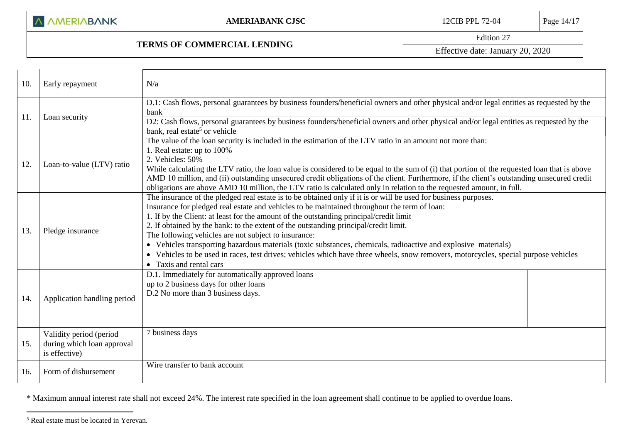### **TERMS OF COMMERCIAL LENDING**

Edition 27

Effective date: January 20, 2020

| 10. | Early repayment                                                        | N/a                                                                                                                                                                                                                                                                                                                                                                                                                                                                                                                                                                                                                                                                                                                                         |  |  |  |
|-----|------------------------------------------------------------------------|---------------------------------------------------------------------------------------------------------------------------------------------------------------------------------------------------------------------------------------------------------------------------------------------------------------------------------------------------------------------------------------------------------------------------------------------------------------------------------------------------------------------------------------------------------------------------------------------------------------------------------------------------------------------------------------------------------------------------------------------|--|--|--|
| 11. | Loan security                                                          | D.1: Cash flows, personal guarantees by business founders/beneficial owners and other physical and/or legal entities as requested by the<br>bank<br>D2: Cash flows, personal guarantees by business founders/beneficial owners and other physical and/or legal entities as requested by the<br>bank, real estate <sup>5</sup> or vehicle                                                                                                                                                                                                                                                                                                                                                                                                    |  |  |  |
| 12. | Loan-to-value (LTV) ratio                                              | The value of the loan security is included in the estimation of the LTV ratio in an amount not more than:<br>1. Real estate: up to 100%<br>2. Vehicles: 50%<br>While calculating the LTV ratio, the loan value is considered to be equal to the sum of (i) that portion of the requested loan that is above<br>AMD 10 million, and (ii) outstanding unsecured credit obligations of the client. Furthermore, if the client's outstanding unsecured credit<br>obligations are above AMD 10 million, the LTV ratio is calculated only in relation to the requested amount, in full.                                                                                                                                                           |  |  |  |
| 13. | Pledge insurance                                                       | The insurance of the pledged real estate is to be obtained only if it is or will be used for business purposes.<br>Insurance for pledged real estate and vehicles to be maintained throughout the term of loan:<br>1. If by the Client: at least for the amount of the outstanding principal/credit limit<br>2. If obtained by the bank: to the extent of the outstanding principal/credit limit.<br>The following vehicles are not subject to insurance:<br>Vehicles transporting hazardous materials (toxic substances, chemicals, radioactive and explosive materials)<br>• Vehicles to be used in races, test drives; vehicles which have three wheels, snow removers, motorcycles, special purpose vehicles<br>• Taxis and rental cars |  |  |  |
| 14. | Application handling period                                            | D.1. Immediately for automatically approved loans<br>up to 2 business days for other loans<br>D.2 No more than 3 business days.                                                                                                                                                                                                                                                                                                                                                                                                                                                                                                                                                                                                             |  |  |  |
| 15. | Validity period (period<br>during which loan approval<br>is effective) | 7 business days                                                                                                                                                                                                                                                                                                                                                                                                                                                                                                                                                                                                                                                                                                                             |  |  |  |
| 16. | Form of disbursement                                                   | Wire transfer to bank account                                                                                                                                                                                                                                                                                                                                                                                                                                                                                                                                                                                                                                                                                                               |  |  |  |

\* Maximum annual interest rate shall not exceed 24%. The interest rate specified in the loan agreement shall continue to be applied to overdue loans.

<u>.</u>

<sup>5</sup> Real estate must be located in Yerevan.